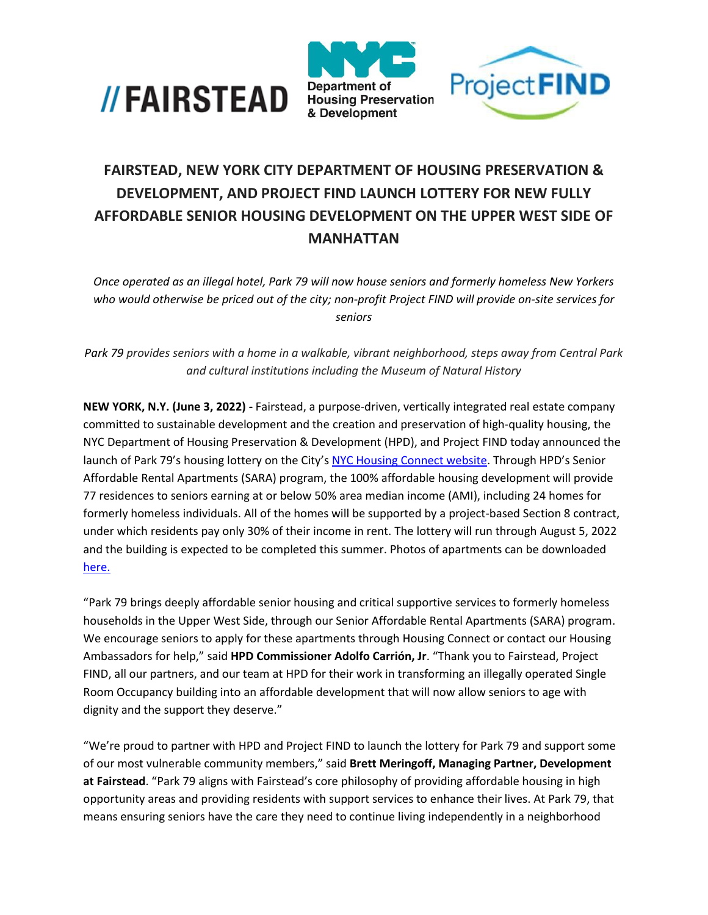





## **FAIRSTEAD, NEW YORK CITY DEPARTMENT OF HOUSING PRESERVATION & DEVELOPMENT, AND PROJECT FIND LAUNCH LOTTERY FOR NEW FULLY AFFORDABLE SENIOR HOUSING DEVELOPMENT ON THE UPPER WEST SIDE OF MANHATTAN**

*Once operated as an illegal hotel, Park 79 will now house seniors and formerly homeless New Yorkers who would otherwise be priced out of the city; non-profit Project FIND will provide on-site services for seniors*

*Park 79 provides seniors with a home in a walkable, vibrant neighborhood, steps away from Central Park and cultural institutions including the Museum of Natural History*

**NEW YORK, N.Y. (June 3, 2022) -** Fairstead, a purpose-driven, vertically integrated real estate company committed to sustainable development and the creation and preservation of high-quality housing, the NYC Department of Housing Preservation & Development (HPD), and Project FIND today announced the launch of Park 79's housing lottery on the City's [NYC Housing Connect website.](https://housingconnect.nyc.gov/PublicWeb/) Through HPD's Senior Affordable Rental Apartments (SARA) program, the 100% affordable housing development will provide 77 residences to seniors earning at or below 50% area median income (AMI), including 24 homes for formerly homeless individuals. All of the homes will be supported by a project-based Section 8 contract, under which residents pay only 30% of their income in rent. The lottery will run through August 5, 2022 and the building is expected to be completed this summer. Photos of apartments can be downloaded [here.](https://drive.google.com/drive/folders/1SeS5Q6BQCFLG7nYpC8V1BJsUo-HZVWbA)

"Park 79 brings deeply affordable senior housing and critical supportive services to formerly homeless households in the Upper West Side, through our Senior Affordable Rental Apartments (SARA) program. We encourage seniors to apply for these apartments through Housing Connect or contact our Housing Ambassadors for help," said **HPD Commissioner Adolfo Carrión, Jr**. "Thank you to Fairstead, Project FIND, all our partners, and our team at HPD for their work in transforming an illegally operated Single Room Occupancy building into an affordable development that will now allow seniors to age with dignity and the support they deserve."

"We're proud to partner with HPD and Project FIND to launch the lottery for Park 79 and support some of our most vulnerable community members," said **Brett Meringoff, Managing Partner, Development at Fairstead**. "Park 79 aligns with Fairstead's core philosophy of providing affordable housing in high opportunity areas and providing residents with support services to enhance their lives. At Park 79, that means ensuring seniors have the care they need to continue living independently in a neighborhood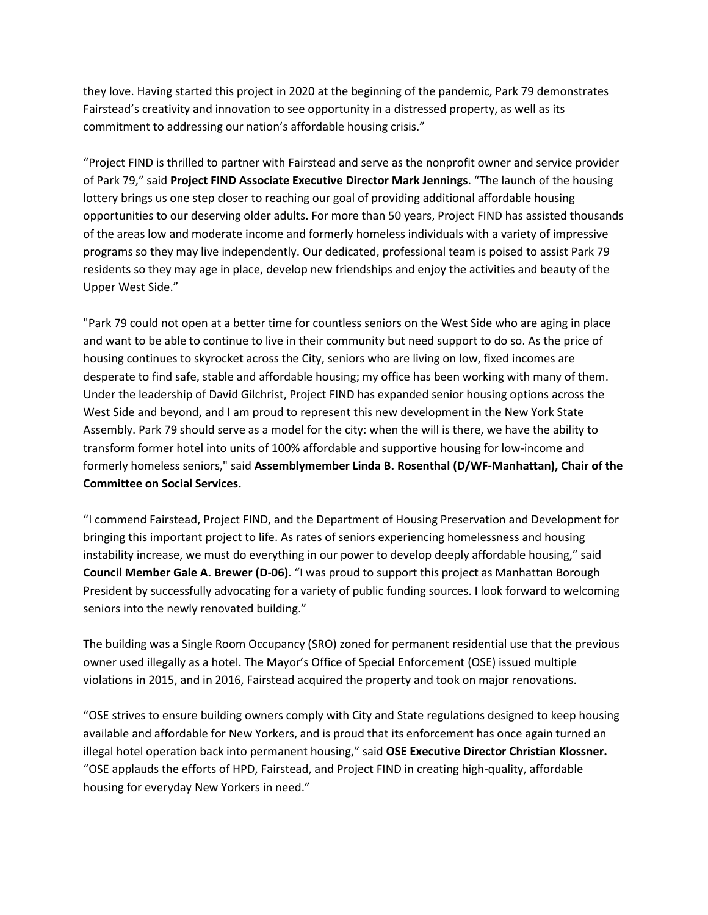they love. Having started this project in 2020 at the beginning of the pandemic, Park 79 demonstrates Fairstead's creativity and innovation to see opportunity in a distressed property, as well as its commitment to addressing our nation's affordable housing crisis."

"Project FIND is thrilled to partner with Fairstead and serve as the nonprofit owner and service provider of Park 79," said **Project FIND Associate Executive Director Mark Jennings**. "The launch of the housing lottery brings us one step closer to reaching our goal of providing additional affordable housing opportunities to our deserving older adults. For more than 50 years, Project FIND has assisted thousands of the areas low and moderate income and formerly homeless individuals with a variety of impressive programs so they may live independently. Our dedicated, professional team is poised to assist Park 79 residents so they may age in place, develop new friendships and enjoy the activities and beauty of the Upper West Side."

"Park 79 could not open at a better time for countless seniors on the West Side who are aging in place and want to be able to continue to live in their community but need support to do so. As the price of housing continues to skyrocket across the City, seniors who are living on low, fixed incomes are desperate to find safe, stable and affordable housing; my office has been working with many of them. Under the leadership of David Gilchrist, Project FIND has expanded senior housing options across the West Side and beyond, and I am proud to represent this new development in the New York State Assembly. Park 79 should serve as a model for the city: when the will is there, we have the ability to transform former hotel into units of 100% affordable and supportive housing for low-income and formerly homeless seniors," said **Assemblymember Linda B. Rosenthal (D/WF-Manhattan), Chair of the Committee on Social Services.**

"I commend Fairstead, Project FIND, and the Department of Housing Preservation and Development for bringing this important project to life. As rates of seniors experiencing homelessness and housing instability increase, we must do everything in our power to develop deeply affordable housing," said **Council Member Gale A. Brewer (D-06)**. "I was proud to support this project as Manhattan Borough President by successfully advocating for a variety of public funding sources. I look forward to welcoming seniors into the newly renovated building."

The building was a Single Room Occupancy (SRO) zoned for permanent residential use that the previous owner used illegally as a hotel. The Mayor's Office of Special Enforcement (OSE) issued multiple violations in 2015, and in 2016, Fairstead acquired the property and took on major renovations.

"OSE strives to ensure building owners comply with City and State regulations designed to keep housing available and affordable for New Yorkers, and is proud that its enforcement has once again turned an illegal hotel operation back into permanent housing," said **OSE Executive Director Christian Klossner.** "OSE applauds the efforts of HPD, Fairstead, and Project FIND in creating high-quality, affordable housing for everyday New Yorkers in need."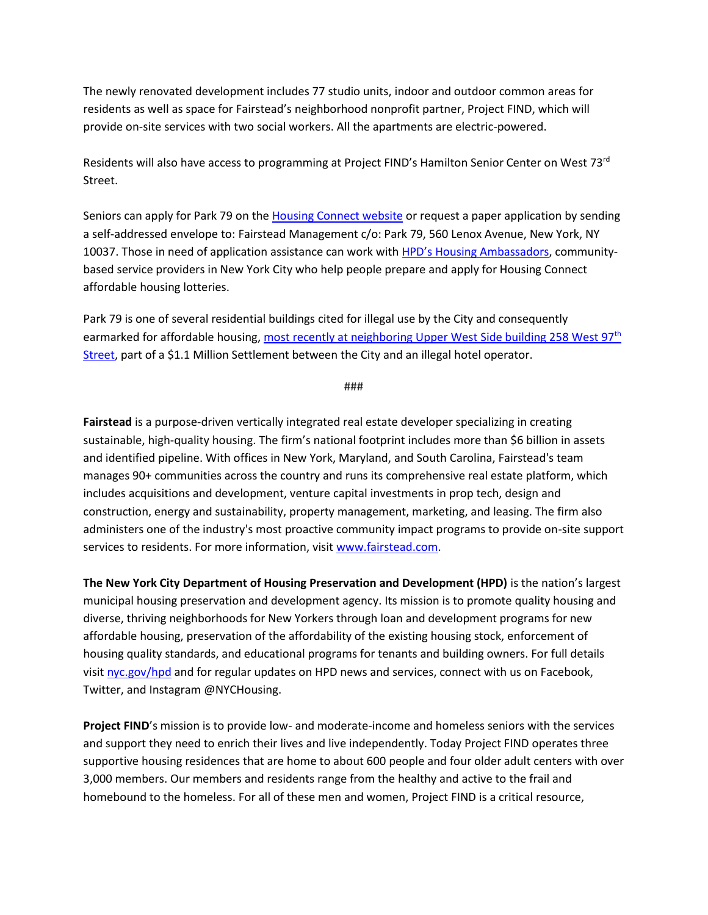The newly renovated development includes 77 studio units, indoor and outdoor common areas for residents as well as space for Fairstead's neighborhood nonprofit partner, Project FIND, which will provide on-site services with two social workers. All the apartments are electric-powered.

Residents will also have access to programming at Project FIND's Hamilton Senior Center on West 73rd Street.

Seniors can apply for Park 79 on the [Housing Connect website](https://housingconnect.nyc.gov/) or request a paper application by sending a self-addressed envelope to: Fairstead Management c/o: Park 79, 560 Lenox Avenue, New York, NY 10037. Those in need of application assistance can work with [HPD's Housing Ambassadors](https://www1.nyc.gov/site/hpd/services-and-information/housing-ambassadors.page), communitybased service providers in New York City who help people prepare and apply for Housing Connect affordable housing lotteries.

Park 79 is one of several residential buildings cited for illegal use by the City and consequently earmarked for affordable housing, [most recently at neighboring Upper West Side building 258 West 97](https://www1.nyc.gov/site/hpd/news/006-22/mayor-adams-shuts-down-illegal-hotel-operator-plan-create-80-new-affordable-homes-on)<sup>th</sup> [Street,](https://www1.nyc.gov/site/hpd/news/006-22/mayor-adams-shuts-down-illegal-hotel-operator-plan-create-80-new-affordable-homes-on) part of a \$1.1 Million Settlement between the City and an illegal hotel operator.

###

**Fairstead** is a purpose-driven vertically integrated real estate developer specializing in creating sustainable, high-quality housing. The firm's national footprint includes more than \$6 billion in assets and identified pipeline. With offices in New York, Maryland, and South Carolina, Fairstead's team manages 90+ communities across the country and runs its comprehensive real estate platform, which includes acquisitions and development, venture capital investments in prop tech, design and construction, energy and sustainability, property management, marketing, and leasing. The firm also administers one of the industry's most proactive community impact programs to provide on-site support services to residents. For more information, visit [www.fairstead.com.](http://www.fairstead.com/)

**The New York City Department of Housing Preservation and Development (HPD)** is the nation's largest municipal housing preservation and development agency. Its mission is to promote quality housing and diverse, thriving neighborhoods for New Yorkers through loan and development programs for new affordable housing, preservation of the affordability of the existing housing stock, enforcement of housing quality standards, and educational programs for tenants and building owners. For full details visi[t nyc.gov/hpd](http://www.nyc.gov/hpd) and for regular updates on HPD news and services, connect with us on Facebook, Twitter, and Instagram @NYCHousing.

**Project FIND**'s mission is to provide low- and moderate-income and homeless seniors with the services and support they need to enrich their lives and live independently. Today Project FIND operates three supportive housing residences that are home to about 600 people and four older adult centers with over 3,000 members. Our members and residents range from the healthy and active to the frail and homebound to the homeless. For all of these men and women, Project FIND is a critical resource,